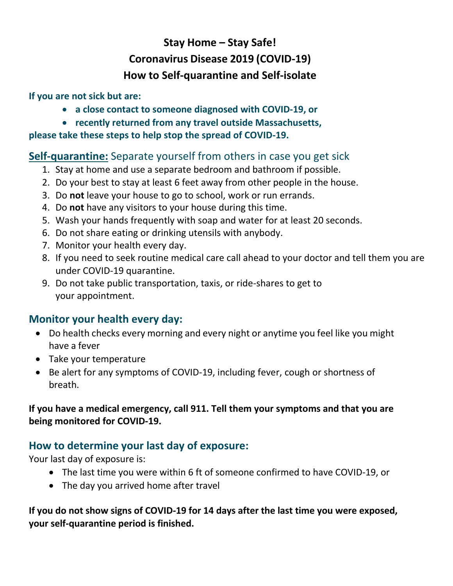# **Stay Home – Stay Safe! Coronavirus Disease 2019 (COVID-19) How to Self-quarantine and Self-isolate**

#### **If you are not sick but are:**

- **a close contact to someone diagnosed with COVID-19, or**
- **recently returned from any travel outside Massachusetts,**

#### **please take these steps to help stop the spread of COVID-19.**

### **Self-quarantine:** Separate yourself from others in case you get sick

- 1. Stay at home and use a separate bedroom and bathroom if possible.
- 2. Do your best to stay at least 6 feet away from other people in the house.
- 3. Do **not** leave your house to go to school, work or run errands.
- 4. Do **not** have any visitors to your house during this time.
- 5. Wash your hands frequently with soap and water for at least 20 seconds.
- 6. Do not share eating or drinking utensils with anybody.
- 7. Monitor your health every day.
- 8. If you need to seek routine medical care call ahead to your doctor and tell them you are under COVID-19 quarantine.
- 9. Do not take public transportation, taxis, or ride-shares to get to your appointment.

## **Monitor your health every day:**

- Do health checks every morning and every night or anytime you feel like you might have a fever
- Take your temperature
- Be alert for any symptoms of COVID-19, including fever, cough or shortness of breath.

#### **If you have a medical emergency, call 911. Tell them your symptoms and that you are being monitored for COVID-19.**

## **How to determine your last day of exposure:**

Your last day of exposure is:

- The last time you were within 6 ft of someone confirmed to have COVID-19, or
- The day you arrived home after travel

#### **If you do not show signs of COVID-19 for 14 days after the last time you were exposed, your self-quarantine period is finished.**